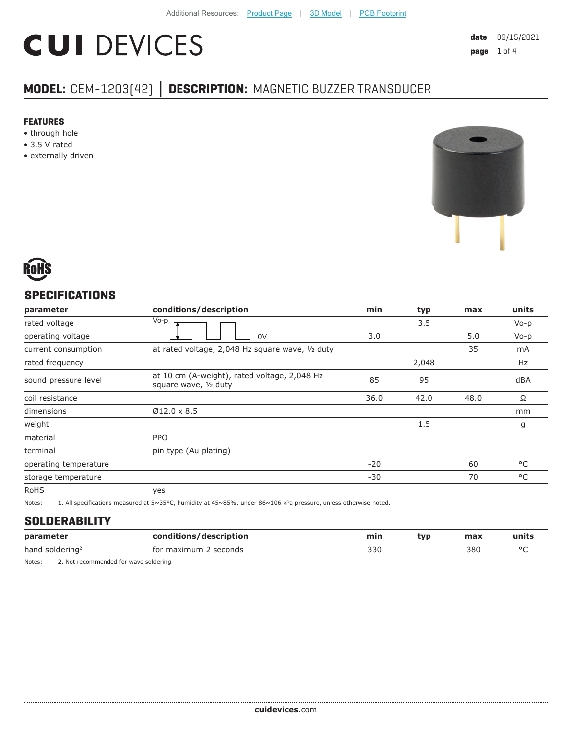# **CUI DEVICES**

# **MODEL:** CEM-1203(42) **│ DESCRIPTION:** MAGNETIC BUZZER TRANSDUCER

#### **FEATURES**

- through hole
- 3.5 V rated
- externally driven





## **SPECIFICATIONS**

| parameter             | conditions/description                                                | min   | typ   | max  | units   |
|-----------------------|-----------------------------------------------------------------------|-------|-------|------|---------|
| rated voltage         | Vo-p                                                                  |       | 3.5   |      | $V_0-p$ |
| operating voltage     | 0V                                                                    | 3.0   |       | 5.0  | $Vo-p$  |
| current consumption   | at rated voltage, 2,048 Hz square wave, 1/2 duty                      |       |       | 35   | mA      |
| rated frequency       |                                                                       |       | 2,048 |      | Hz      |
| sound pressure level  | at 10 cm (A-weight), rated voltage, 2,048 Hz<br>square wave, 1/2 duty | 85    | 95    |      | dBA     |
| coil resistance       |                                                                       | 36.0  | 42.0  | 48.0 | Ω       |
| dimensions            | $Ø12.0 \times 8.5$                                                    |       |       |      | mm      |
| weight                |                                                                       |       | 1.5   |      | g       |
| material              | <b>PPO</b>                                                            |       |       |      |         |
| terminal              | pin type (Au plating)                                                 |       |       |      |         |
| operating temperature |                                                                       | $-20$ |       | 60   | °C      |
| storage temperature   |                                                                       | $-30$ |       | 70   | °C      |
| <b>RoHS</b>           | yes                                                                   |       |       |      |         |

Notes: 1. All specifications measured at 5~35°C, humidity at 45~85%, under 86~106 kPa pressure, unless otherwise noted.

# **SOLDERABILITY**

| parameter                   | conditions/description         | min          | tvp | max | ⊡units |
|-----------------------------|--------------------------------|--------------|-----|-----|--------|
| hand soldering <sup>2</sup> | seconds<br>$m \times m$<br>tor | 33C<br>$  -$ |     | 380 |        |

Notes: 2. Not recommended for wave soldering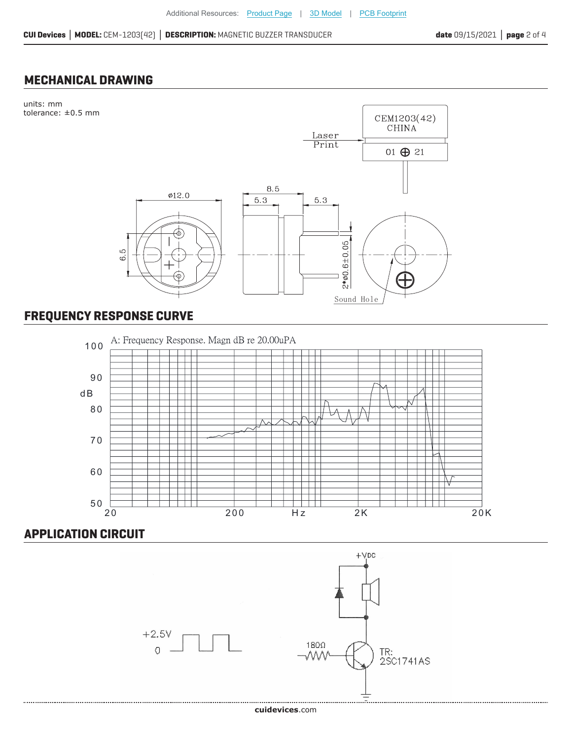#### **MECHANICAL DRAWING**

units: mm



# **FREQUENCY RESPONSE CURVE**



## **APPLICATION CIRCUIT**



#### **cui[devices](https://www.cuidevices.com/track?actionLabel=Datasheet-ClickThrough-HomePage&label=CEM-1203-42-.pdf&path=/)**.com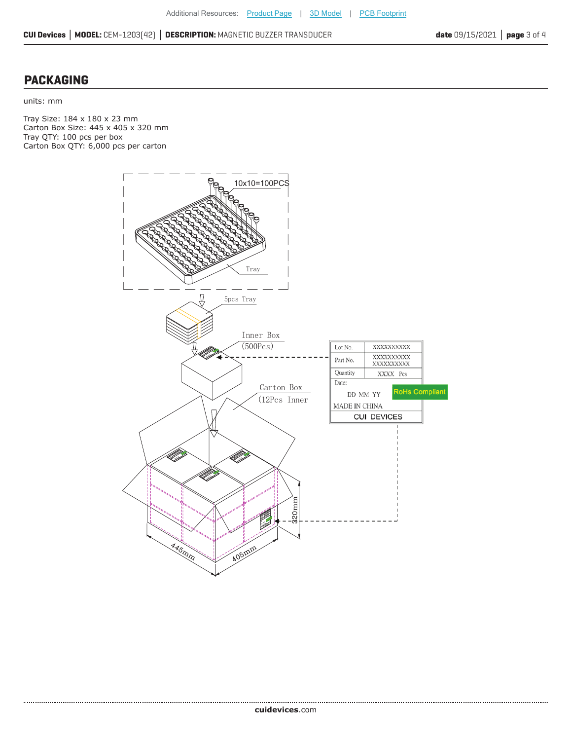#### **PACKAGING**

units: mm

........................

Tray Size: 184 x 180 x 23 mm Carton Box Size: 445 x 405 x 320 mm Tray QTY: 100 pcs per box Carton Box QTY: 6,000 pcs per carton